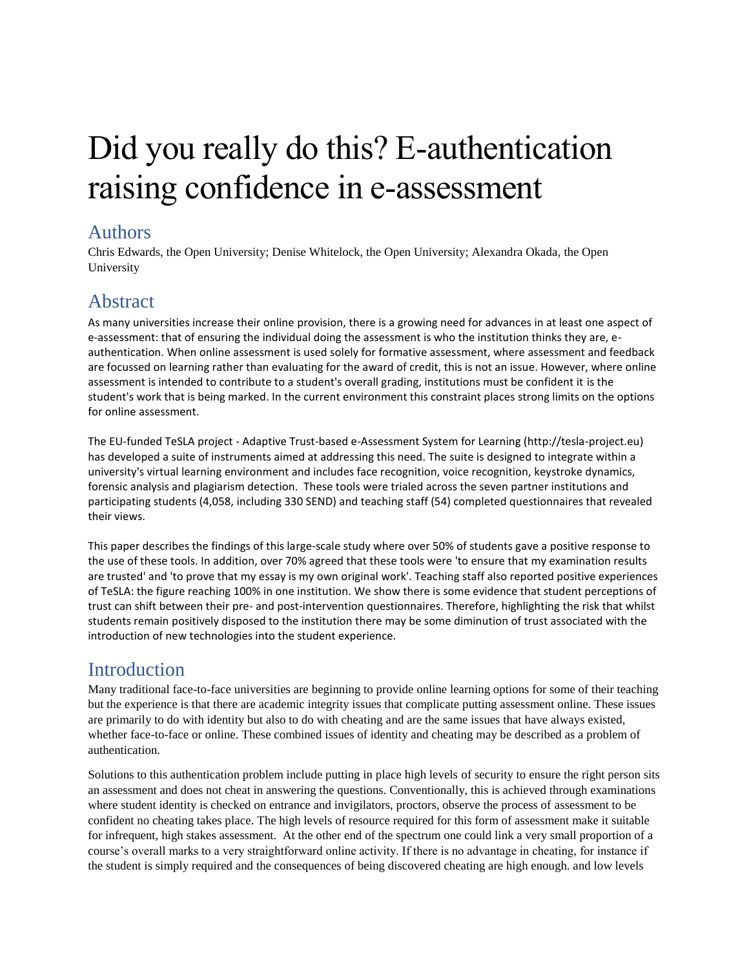# Did you really do this? E-authentication raising confidence in e-assessment

#### Authors

Chris Edwards, the Open University; Denise Whitelock, the Open University; Alexandra Okada, the Open University

# Abstract

As many universities increase their online provision, there is a growing need for advances in at least one aspect of e-assessment: that of ensuring the individual doing the assessment is who the institution thinks they are, eauthentication. When online assessment is used solely for formative assessment, where assessment and feedback are focussed on learning rather than evaluating for the award of credit, this is not an issue. However, where online assessment is intended to contribute to a student's overall grading, institutions must be confident it is the student's work that is being marked. In the current environment this constraint places strong limits on the options for online assessment.

The EU-funded TeSLA project - Adaptive Trust-based e-Assessment System for Learning (http://tesla-project.eu) has developed a suite of instruments aimed at addressing this need. The suite is designed to integrate within a university's virtual learning environment and includes face recognition, voice recognition, keystroke dynamics, forensic analysis and plagiarism detection. These tools were trialed across the seven partner institutions and participating students (4,058, including 330 SEND) and teaching staff (54) completed questionnaires that revealed their views.

This paper describes the findings of this large-scale study where over 50% of students gave a positive response to the use of these tools. In addition, over 70% agreed that these tools were 'to ensure that my examination results are trusted' and 'to prove that my essay is my own original work'. Teaching staff also reported positive experiences of TeSLA: the figure reaching 100% in one institution. We show there is some evidence that student perceptions of trust can shift between their pre- and post-intervention questionnaires. Therefore, highlighting the risk that whilst students remain positively disposed to the institution there may be some diminution of trust associated with the introduction of new technologies into the student experience.

# **Introduction**

Many traditional face-to-face universities are beginning to provide online learning options for some of their teaching but the experience is that there are academic integrity issues that complicate putting assessment online. These issues are primarily to do with identity but also to do with cheating and are the same issues that have always existed, whether face-to-face or online. These combined issues of identity and cheating may be described as a problem of authentication.

Solutions to this authentication problem include putting in place high levels of security to ensure the right person sits an assessment and does not cheat in answering the questions. Conventionally, this is achieved through examinations where student identity is checked on entrance and invigilators, proctors, observe the process of assessment to be confident no cheating takes place. The high levels of resource required for this form of assessment make it suitable for infrequent, high stakes assessment. At the other end of the spectrum one could link a very small proportion of a course's overall marks to a very straightforward online activity. If there is no advantage in cheating, for instance if the student is simply required and the consequences of being discovered cheating are high enough. and low levels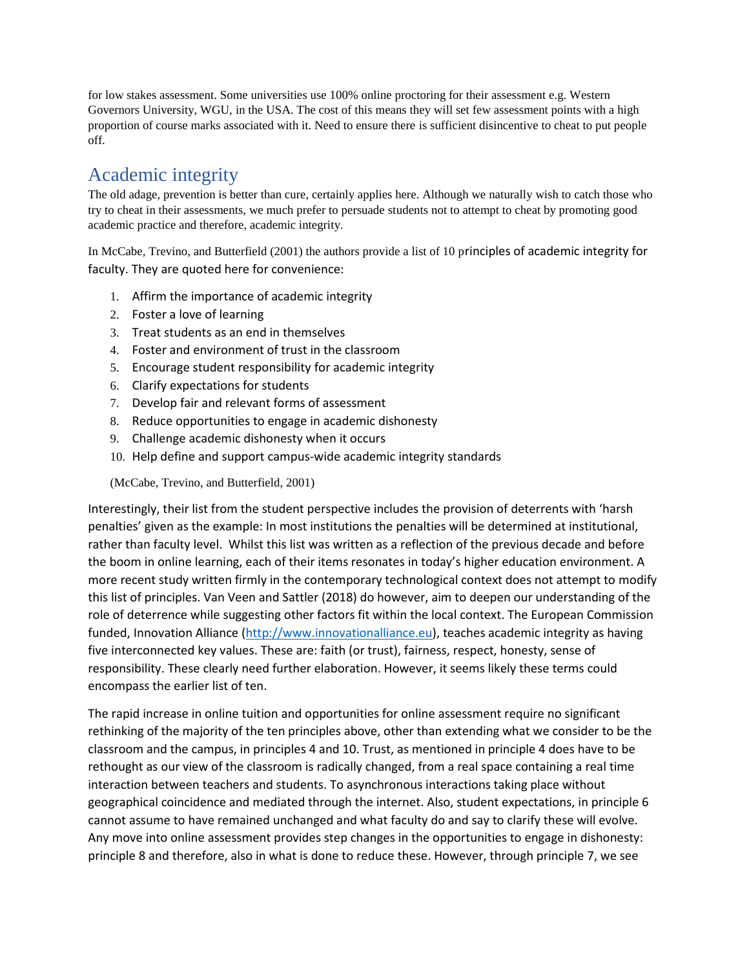for low stakes assessment. Some universities use 100% online proctoring for their assessment e.g. Western Governors University, WGU, in the USA. The cost of this means they will set few assessment points with a high proportion of course marks associated with it. Need to ensure there is sufficient disincentive to cheat to put people off.

## Academic integrity

The old adage, prevention is better than cure, certainly applies here. Although we naturally wish to catch those who try to cheat in their assessments, we much prefer to persuade students not to attempt to cheat by promoting good academic practice and therefore, academic integrity.

In McCabe, Trevino, and Butterfield (2001) the authors provide a list of 10 principles of academic integrity for faculty. They are quoted here for convenience:

- 1. Affirm the importance of academic integrity
- 2. Foster a love of learning
- 3. Treat students as an end in themselves
- 4. Foster and environment of trust in the classroom
- 5. Encourage student responsibility for academic integrity
- 6. Clarify expectations for students
- 7. Develop fair and relevant forms of assessment
- 8. Reduce opportunities to engage in academic dishonesty
- 9. Challenge academic dishonesty when it occurs
- 10. Help define and support campus-wide academic integrity standards

(McCabe, Trevino, and Butterfield, 2001)

Interestingly, their list from the student perspective includes the provision of deterrents with 'harsh penalties' given as the example: In most institutions the penalties will be determined at institutional, rather than faculty level. Whilst this list was written as a reflection of the previous decade and before the boom in online learning, each of their items resonates in today's higher education environment. A more recent study written firmly in the contemporary technological context does not attempt to modify this list of principles. Van Veen and Sattler (2018) do however, aim to deepen our understanding of the role of deterrence while suggesting other factors fit within the local context. The European Commission funded, Innovation Alliance [\(http://www.innovationalliance.eu\)](http://www.innovationalliance.eu/), teaches academic integrity as having five interconnected key values. These are: faith (or trust), fairness, respect, honesty, sense of responsibility. These clearly need further elaboration. However, it seems likely these terms could encompass the earlier list of ten.

The rapid increase in online tuition and opportunities for online assessment require no significant rethinking of the majority of the ten principles above, other than extending what we consider to be the classroom and the campus, in principles 4 and 10. Trust, as mentioned in principle 4 does have to be rethought as our view of the classroom is radically changed, from a real space containing a real time interaction between teachers and students. To asynchronous interactions taking place without geographical coincidence and mediated through the internet. Also, student expectations, in principle 6 cannot assume to have remained unchanged and what faculty do and say to clarify these will evolve. Any move into online assessment provides step changes in the opportunities to engage in dishonesty: principle 8 and therefore, also in what is done to reduce these. However, through principle 7, we see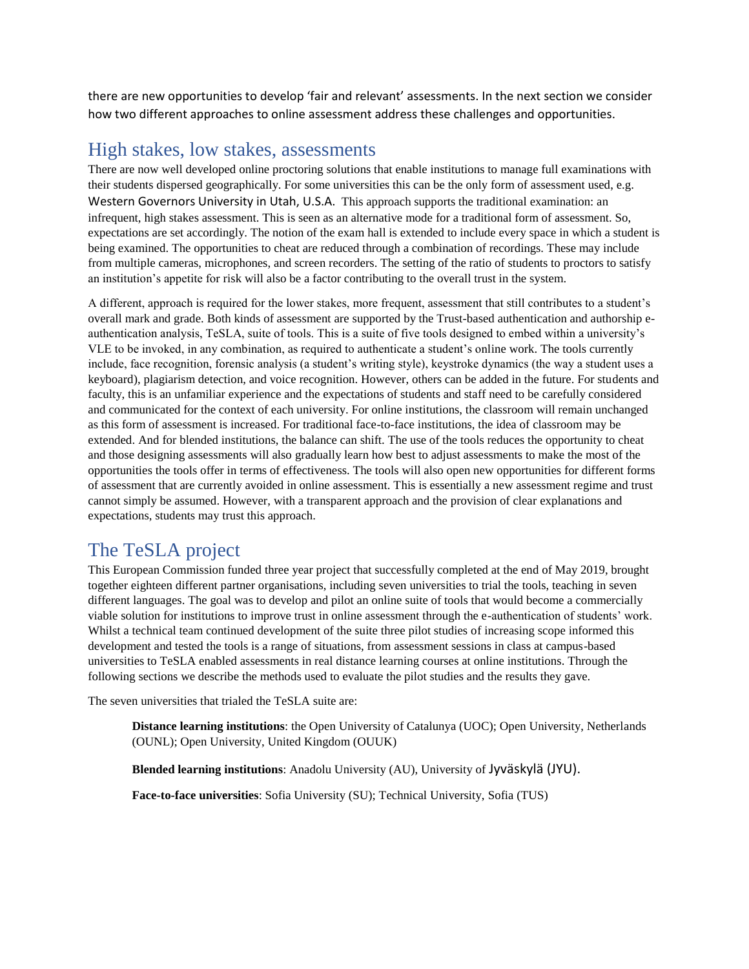there are new opportunities to develop 'fair and relevant' assessments. In the next section we consider how two different approaches to online assessment address these challenges and opportunities.

#### High stakes, low stakes, assessments

There are now well developed online proctoring solutions that enable institutions to manage full examinations with their students dispersed geographically. For some universities this can be the only form of assessment used, e.g. Western Governors University in Utah, U.S.A. This approach supports the traditional examination: an infrequent, high stakes assessment. This is seen as an alternative mode for a traditional form of assessment. So, expectations are set accordingly. The notion of the exam hall is extended to include every space in which a student is being examined. The opportunities to cheat are reduced through a combination of recordings. These may include from multiple cameras, microphones, and screen recorders. The setting of the ratio of students to proctors to satisfy an institution's appetite for risk will also be a factor contributing to the overall trust in the system.

A different, approach is required for the lower stakes, more frequent, assessment that still contributes to a student's overall mark and grade. Both kinds of assessment are supported by the Trust-based authentication and authorship eauthentication analysis, TeSLA, suite of tools. This is a suite of five tools designed to embed within a university's VLE to be invoked, in any combination, as required to authenticate a student's online work. The tools currently include, face recognition, forensic analysis (a student's writing style), keystroke dynamics (the way a student uses a keyboard), plagiarism detection, and voice recognition. However, others can be added in the future. For students and faculty, this is an unfamiliar experience and the expectations of students and staff need to be carefully considered and communicated for the context of each university. For online institutions, the classroom will remain unchanged as this form of assessment is increased. For traditional face-to-face institutions, the idea of classroom may be extended. And for blended institutions, the balance can shift. The use of the tools reduces the opportunity to cheat and those designing assessments will also gradually learn how best to adjust assessments to make the most of the opportunities the tools offer in terms of effectiveness. The tools will also open new opportunities for different forms of assessment that are currently avoided in online assessment. This is essentially a new assessment regime and trust cannot simply be assumed. However, with a transparent approach and the provision of clear explanations and expectations, students may trust this approach.

## The TeSLA project

This European Commission funded three year project that successfully completed at the end of May 2019, brought together eighteen different partner organisations, including seven universities to trial the tools, teaching in seven different languages. The goal was to develop and pilot an online suite of tools that would become a commercially viable solution for institutions to improve trust in online assessment through the e-authentication of students' work. Whilst a technical team continued development of the suite three pilot studies of increasing scope informed this development and tested the tools is a range of situations, from assessment sessions in class at campus-based universities to TeSLA enabled assessments in real distance learning courses at online institutions. Through the following sections we describe the methods used to evaluate the pilot studies and the results they gave.

The seven universities that trialed the TeSLA suite are:

**Distance learning institutions**: the Open University of Catalunya (UOC); Open University, Netherlands (OUNL); Open University, United Kingdom (OUUK)

**Blended learning institutions**: Anadolu University (AU), University of [Jyväskylä](https://www.jyu.fi/en/) (JYU).

**Face-to-face universities**: Sofia University (SU); Technical University, Sofia (TUS)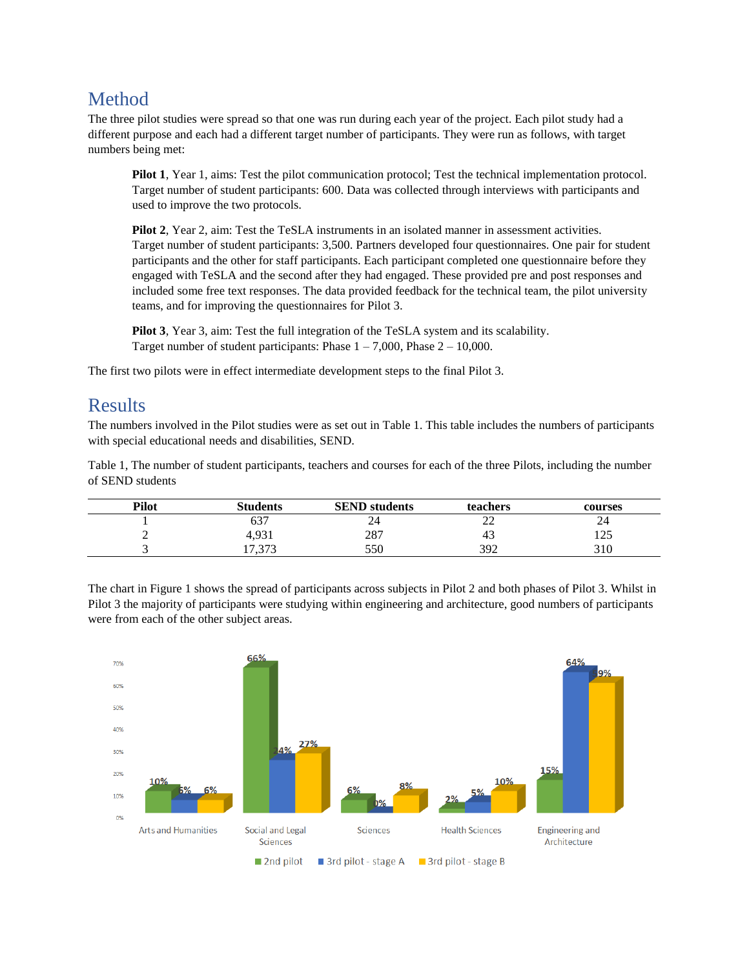## Method

The three pilot studies were spread so that one was run during each year of the project. Each pilot study had a different purpose and each had a different target number of participants. They were run as follows, with target numbers being met:

**Pilot 1**, Year 1, aims: Test the pilot communication protocol; Test the technical implementation protocol. Target number of student participants: 600. Data was collected through interviews with participants and used to improve the two protocols.

**Pilot 2**, Year 2, aim: Test the TeSLA instruments in an isolated manner in assessment activities. Target number of student participants: 3,500. Partners developed four questionnaires. One pair for student participants and the other for staff participants. Each participant completed one questionnaire before they engaged with TeSLA and the second after they had engaged. These provided pre and post responses and included some free text responses. The data provided feedback for the technical team, the pilot university teams, and for improving the questionnaires for Pilot 3.

**Pilot 3**, Year 3, aim: Test the full integration of the TeSLA system and its scalability. Target number of student participants: Phase  $1 - 7,000$ , Phase  $2 - 10,000$ .

The first two pilots were in effect intermediate development steps to the final Pilot 3.

#### **Results**

The numbers involved in the Pilot studies were as set out in Table 1. This table includes the numbers of participants with special educational needs and disabilities, SEND.

Table 1, The number of student participants, teachers and courses for each of the three Pilots, including the number of SEND students

| Pilot     | <b>Students</b> | <b>SEND</b> students | teachers     | courses      |
|-----------|-----------------|----------------------|--------------|--------------|
|           | $\sim$<br>03 .  | ∠⊣                   | $\sim$<br>∠∠ | 44           |
| <b>__</b> | 4,931           | 287                  | 43           | 105<br>ر ے ر |
|           | 272<br>11.JIJ   | 550                  | 392          | 310          |

The chart in Figure 1 shows the spread of participants across subjects in Pilot 2 and both phases of Pilot 3. Whilst in Pilot 3 the majority of participants were studying within engineering and architecture, good numbers of participants were from each of the other subject areas.

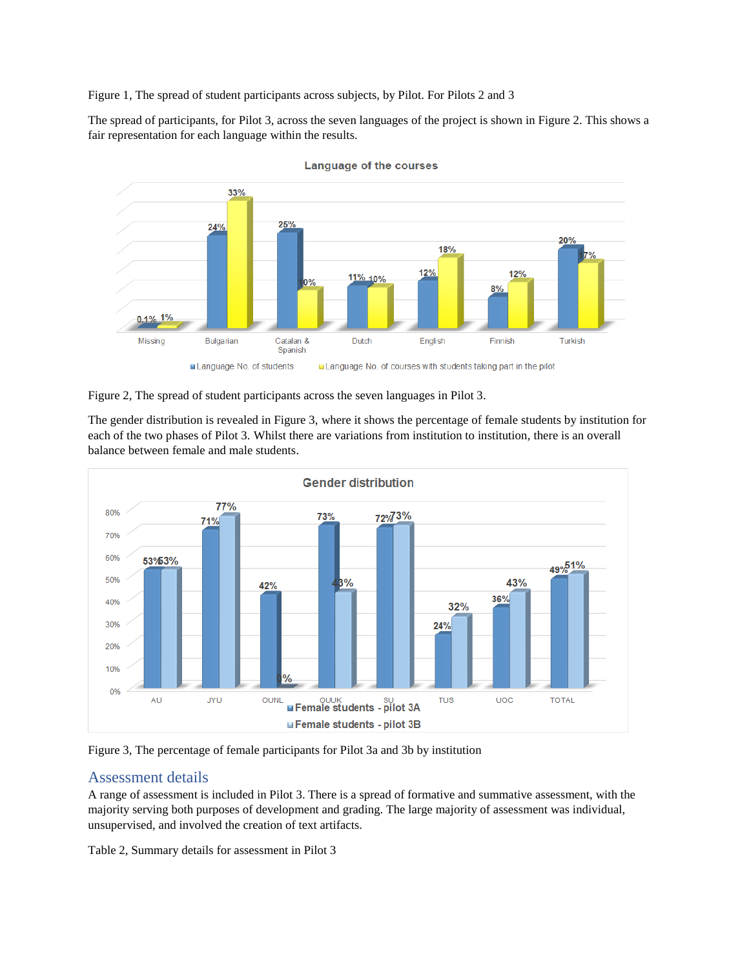Figure 1, The spread of student participants across subjects, by Pilot. For Pilots 2 and 3

The spread of participants, for Pilot 3, across the seven languages of the project is shown in Figure 2. This shows a fair representation for each language within the results.



**Language of the courses** 

Figure 2, The spread of student participants across the seven languages in Pilot 3.

The gender distribution is revealed in Figure 3, where it shows the percentage of female students by institution for each of the two phases of Pilot 3. Whilst there are variations from institution to institution, there is an overall balance between female and male students.



Figure 3, The percentage of female participants for Pilot 3a and 3b by institution

#### Assessment details

A range of assessment is included in Pilot 3. There is a spread of formative and summative assessment, with the majority serving both purposes of development and grading. The large majority of assessment was individual, unsupervised, and involved the creation of text artifacts.

Table 2, Summary details for assessment in Pilot 3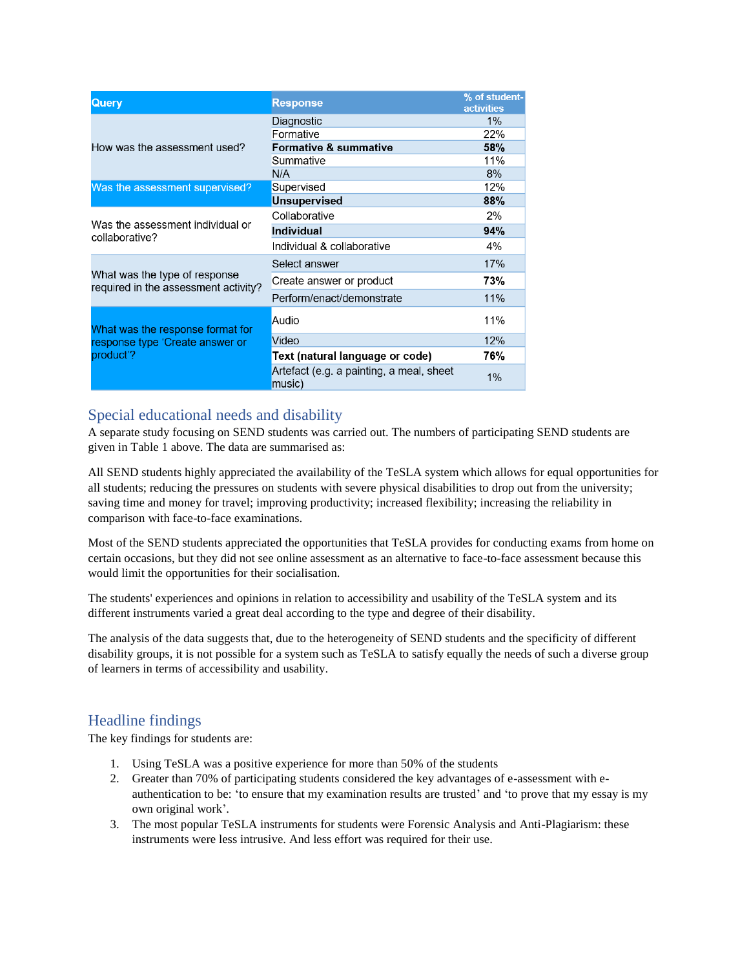| <b>Query</b>                                                          | <b>Response</b>                                                                                                                      | % of student-<br><b>activities</b> |
|-----------------------------------------------------------------------|--------------------------------------------------------------------------------------------------------------------------------------|------------------------------------|
|                                                                       | Diagnostic                                                                                                                           | 1%                                 |
|                                                                       | Formative                                                                                                                            | 22%                                |
| How was the assessment used?                                          | <b>Formative &amp; summative</b>                                                                                                     | 58%                                |
|                                                                       | Summative                                                                                                                            | 11%                                |
|                                                                       | N/A                                                                                                                                  | 8%                                 |
| Was the assessment supervised?                                        | Supervised                                                                                                                           | 12%                                |
|                                                                       | <b>Unsupervised</b>                                                                                                                  | 88%                                |
|                                                                       | Collaborative                                                                                                                        | 2%                                 |
| Was the assessment individual or<br>collaborative?                    | <b>Individual</b>                                                                                                                    | 94%                                |
|                                                                       | Individual & collaborative                                                                                                           | 4%                                 |
|                                                                       | Select answer                                                                                                                        | 17%                                |
| What was the type of response<br>required in the assessment activity? | Create answer or product                                                                                                             | 73%                                |
|                                                                       | Perform/enact/demonstrate<br>Audio<br>Video<br>Text (natural language or code)<br>Artefact (e.g. a painting, a meal, sheet<br>music) | 11%                                |
| What was the response format for                                      |                                                                                                                                      | 11%                                |
| response type 'Create answer or                                       |                                                                                                                                      | 12%                                |
| product'?                                                             |                                                                                                                                      | 76%                                |
|                                                                       |                                                                                                                                      | 1%                                 |

#### Special educational needs and disability

A separate study focusing on SEND students was carried out. The numbers of participating SEND students are given in Table 1 above. The data are summarised as:

All SEND students highly appreciated the availability of the TeSLA system which allows for equal opportunities for all students; reducing the pressures on students with severe physical disabilities to drop out from the university; saving time and money for travel; improving productivity; increased flexibility; increasing the reliability in comparison with face-to-face examinations.

Most of the SEND students appreciated the opportunities that TeSLA provides for conducting exams from home on certain occasions, but they did not see online assessment as an alternative to face-to-face assessment because this would limit the opportunities for their socialisation.

The students' experiences and opinions in relation to accessibility and usability of the TeSLA system and its different instruments varied a great deal according to the type and degree of their disability.

The analysis of the data suggests that, due to the heterogeneity of SEND students and the specificity of different disability groups, it is not possible for a system such as TeSLA to satisfy equally the needs of such a diverse group of learners in terms of accessibility and usability.

#### Headline findings

The key findings for students are:

- 1. Using TeSLA was a positive experience for more than 50% of the students
- 2. Greater than 70% of participating students considered the key advantages of e-assessment with eauthentication to be: 'to ensure that my examination results are trusted' and 'to prove that my essay is my own original work'.
- 3. The most popular TeSLA instruments for students were Forensic Analysis and Anti-Plagiarism: these instruments were less intrusive. And less effort was required for their use.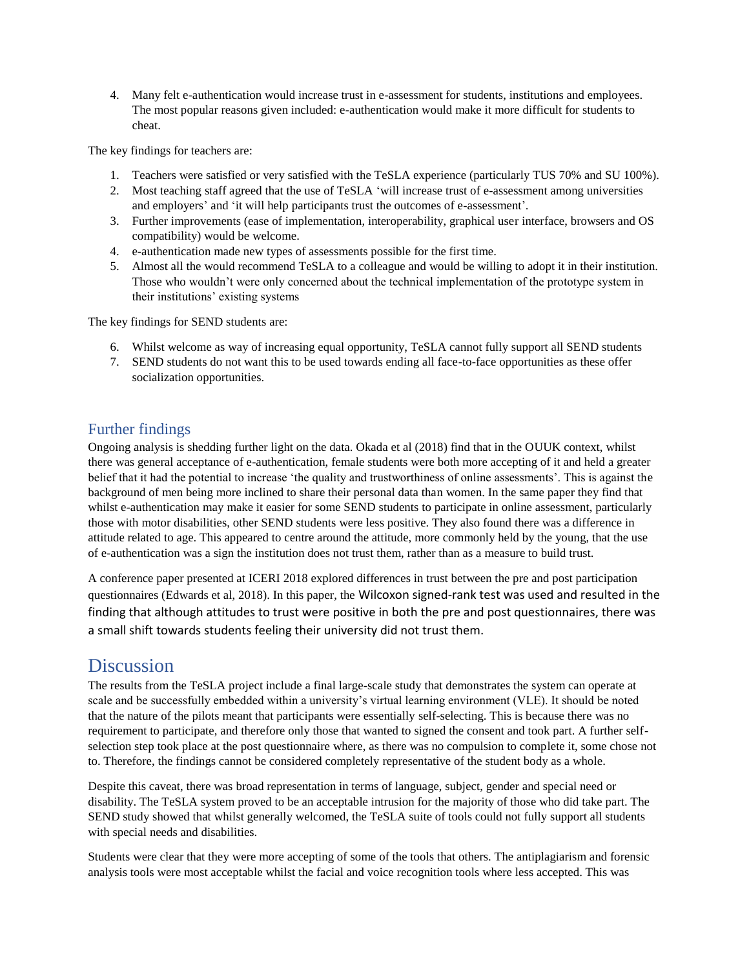4. Many felt e-authentication would increase trust in e-assessment for students, institutions and employees. The most popular reasons given included: e-authentication would make it more difficult for students to cheat.

The key findings for teachers are:

- 1. Teachers were satisfied or very satisfied with the TeSLA experience (particularly TUS 70% and SU 100%).
- 2. Most teaching staff agreed that the use of TeSLA 'will increase trust of e-assessment among universities and employers' and 'it will help participants trust the outcomes of e-assessment'.
- 3. Further improvements (ease of implementation, interoperability, graphical user interface, browsers and OS compatibility) would be welcome.
- 4. e-authentication made new types of assessments possible for the first time.
- 5. Almost all the would recommend TeSLA to a colleague and would be willing to adopt it in their institution. Those who wouldn't were only concerned about the technical implementation of the prototype system in their institutions' existing systems

The key findings for SEND students are:

- 6. Whilst welcome as way of increasing equal opportunity, TeSLA cannot fully support all SEND students
- 7. SEND students do not want this to be used towards ending all face-to-face opportunities as these offer socialization opportunities.

#### Further findings

Ongoing analysis is shedding further light on the data. Okada et al (2018) find that in the OUUK context, whilst there was general acceptance of e-authentication, female students were both more accepting of it and held a greater belief that it had the potential to increase 'the quality and trustworthiness of online assessments'. This is against the background of men being more inclined to share their personal data than women. In the same paper they find that whilst e-authentication may make it easier for some SEND students to participate in online assessment, particularly those with motor disabilities, other SEND students were less positive. They also found there was a difference in attitude related to age. This appeared to centre around the attitude, more commonly held by the young, that the use of e-authentication was a sign the institution does not trust them, rather than as a measure to build trust.

A conference paper presented at ICERI 2018 explored differences in trust between the pre and post participation questionnaires (Edwards et al, 2018). In this paper, the Wilcoxon signed-rank test was used and resulted in the finding that although attitudes to trust were positive in both the pre and post questionnaires, there was a small shift towards students feeling their university did not trust them.

## **Discussion**

The results from the TeSLA project include a final large-scale study that demonstrates the system can operate at scale and be successfully embedded within a university's virtual learning environment (VLE). It should be noted that the nature of the pilots meant that participants were essentially self-selecting. This is because there was no requirement to participate, and therefore only those that wanted to signed the consent and took part. A further selfselection step took place at the post questionnaire where, as there was no compulsion to complete it, some chose not to. Therefore, the findings cannot be considered completely representative of the student body as a whole.

Despite this caveat, there was broad representation in terms of language, subject, gender and special need or disability. The TeSLA system proved to be an acceptable intrusion for the majority of those who did take part. The SEND study showed that whilst generally welcomed, the TeSLA suite of tools could not fully support all students with special needs and disabilities.

Students were clear that they were more accepting of some of the tools that others. The antiplagiarism and forensic analysis tools were most acceptable whilst the facial and voice recognition tools where less accepted. This was